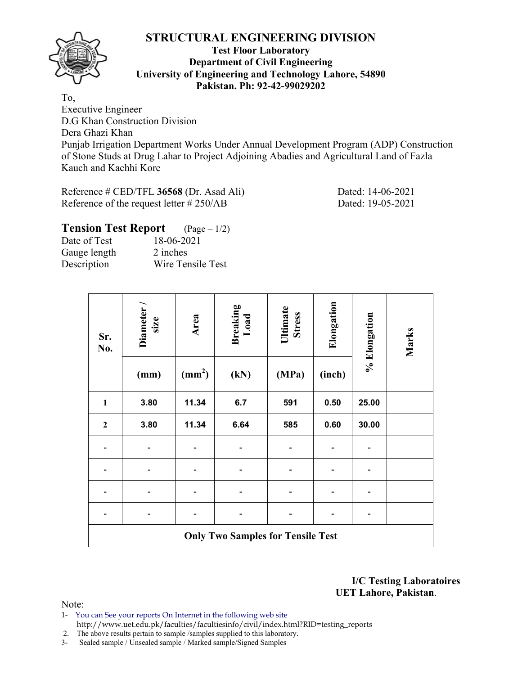

#### **Test Floor Laboratory Department of Civil Engineering University of Engineering and Technology Lahore, 54890 Pakistan. Ph: 92-42-99029202**

To, Executive Engineer D.G Khan Construction Division Dera Ghazi Khan Punjab Irrigation Department Works Under Annual Development Program (ADP) Construction of Stone Studs at Drug Lahar to Project Adjoining Abadies and Agricultural Land of Fazla Kauch and Kachhi Kore

Reference # CED/TFL **36568** (Dr. Asad Ali) Dated: 14-06-2021 Reference of the request letter # 250/AB Dated: 19-05-2021

# **Tension Test Report** (Page – 1/2)

| Date of Test | 18-06-2021        |
|--------------|-------------------|
| Gauge length | 2 inches          |
| Description  | Wire Tensile Test |

| Sr.<br>No.   | Diameter<br>size                         | Area               |      | Ultimate<br><b>Stress</b> | Elongation | % Elongation | Marks |  |  |  |  |  |
|--------------|------------------------------------------|--------------------|------|---------------------------|------------|--------------|-------|--|--|--|--|--|
|              | (mm)                                     | (mm <sup>2</sup> ) | (kN) | (MPa)                     | (inch)     |              |       |  |  |  |  |  |
| $\mathbf{1}$ | 3.80                                     | 11.34              | 6.7  | 591                       | 0.50       | 25.00        |       |  |  |  |  |  |
| $\mathbf{2}$ | 3.80                                     | 11.34              | 6.64 | 585                       | 0.60       | 30.00        |       |  |  |  |  |  |
|              |                                          |                    |      |                           |            |              |       |  |  |  |  |  |
|              |                                          |                    |      |                           |            |              |       |  |  |  |  |  |
|              |                                          |                    |      |                           |            |              |       |  |  |  |  |  |
|              |                                          |                    |      |                           |            |              |       |  |  |  |  |  |
|              | <b>Only Two Samples for Tensile Test</b> |                    |      |                           |            |              |       |  |  |  |  |  |

**I/C Testing Laboratoires UET Lahore, Pakistan**.

- 1- You can See your reports On Internet in the following web site http://www.uet.edu.pk/faculties/facultiesinfo/civil/index.html?RID=testing\_reports
- 2. The above results pertain to sample /samples supplied to this laboratory.
- 3- Sealed sample / Unsealed sample / Marked sample/Signed Samples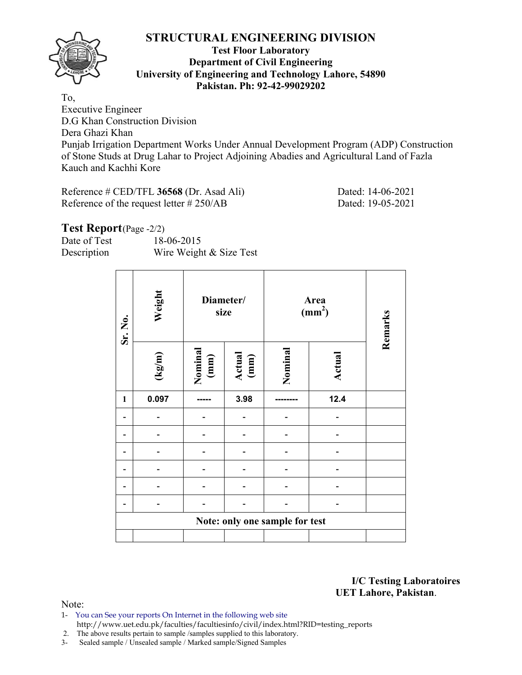

### **Test Floor Laboratory Department of Civil Engineering University of Engineering and Technology Lahore, 54890 Pakistan. Ph: 92-42-99029202**

To, Executive Engineer D.G Khan Construction Division Dera Ghazi Khan Punjab Irrigation Department Works Under Annual Development Program (ADP) Construction of Stone Studs at Drug Lahar to Project Adjoining Abadies and Agricultural Land of Fazla Kauch and Kachhi Kore

| Reference $\#$ CED/TFL 36568 (Dr. Asad Ali) | Dated: 14-06-2021 |
|---------------------------------------------|-------------------|
| Reference of the request letter $\# 250/AB$ | Dated: 19-05-2021 |

### Test Report (Page -2/2)

| Date of Test | 18-06-2015              |
|--------------|-------------------------|
| Description  | Wire Weight & Size Test |

| Sr. No.      | Weight                         | Diameter/<br>size |                |         | Area<br>$\text{(mm}^2)$ | Remarks |  |  |  |  |  |
|--------------|--------------------------------|-------------------|----------------|---------|-------------------------|---------|--|--|--|--|--|
|              | $(\text{kg/m})$                | Nominal<br>(mm)   | Actual<br>(mm) | Nominal | Actual                  |         |  |  |  |  |  |
| $\mathbf{1}$ | 0.097                          |                   | 3.98           |         | 12.4                    |         |  |  |  |  |  |
|              |                                |                   |                |         |                         |         |  |  |  |  |  |
|              |                                |                   |                |         |                         |         |  |  |  |  |  |
|              |                                |                   |                |         |                         |         |  |  |  |  |  |
|              |                                |                   |                |         |                         |         |  |  |  |  |  |
|              |                                |                   |                |         |                         |         |  |  |  |  |  |
|              |                                |                   |                |         |                         |         |  |  |  |  |  |
|              | Note: only one sample for test |                   |                |         |                         |         |  |  |  |  |  |
|              |                                |                   |                |         |                         |         |  |  |  |  |  |

**I/C Testing Laboratoires UET Lahore, Pakistan**.

- 1- You can See your reports On Internet in the following web site http://www.uet.edu.pk/faculties/facultiesinfo/civil/index.html?RID=testing\_reports
- 2. The above results pertain to sample /samples supplied to this laboratory.
- 3- Sealed sample / Unsealed sample / Marked sample/Signed Samples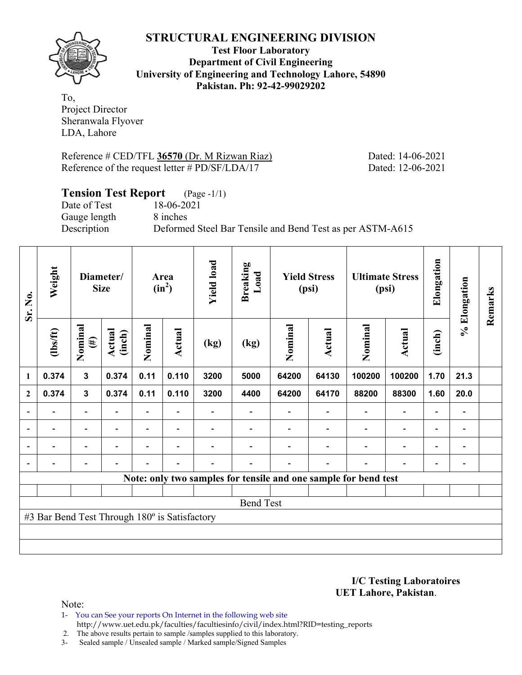

**Test Floor Laboratory Department of Civil Engineering University of Engineering and Technology Lahore, 54890 Pakistan. Ph: 92-42-99029202** 

To, Project Director Sheranwala Flyover LDA, Lahore

Reference # CED/TFL **36570** (Dr. M Rizwan Riaz) Dated: 14-06-2021 Reference of the request letter # PD/SF/LDA/17 Dated: 12-06-2021

# **Tension Test Report** (Page -1/1)

Date of Test 18-06-2021 Gauge length 8 inches

Description Deformed Steel Bar Tensile and Bend Test as per ASTM-A615

| Sr. No.        | Weight                                        |                          | Diameter/<br><b>Size</b> |                | Area<br>$(in^2)$ | <b>Yield load</b>        | <b>Breaking</b><br>Load |         | <b>Yield Stress</b><br>(psi) |                                                                 | <b>Ultimate Stress</b><br>(psi) | Elongation               | % Elongation                 | Remarks |
|----------------|-----------------------------------------------|--------------------------|--------------------------|----------------|------------------|--------------------------|-------------------------|---------|------------------------------|-----------------------------------------------------------------|---------------------------------|--------------------------|------------------------------|---------|
|                | $lbsft$                                       | Nominal<br>$(\#)$        | Actual<br>(inch)         | Nominal        | Actual           | (kg)                     | (kg)                    | Nominal | Actual                       | Nominal                                                         | Actual                          | (inch)                   |                              |         |
| 1              | 0.374                                         | $\mathbf{3}$             | 0.374                    | 0.11           | 0.110            | 3200                     | 5000                    | 64200   | 64130                        | 100200                                                          | 100200                          | 1.70                     | 21.3                         |         |
| $\mathbf{2}$   | 0.374                                         | $\mathbf{3}$             | 0.374                    | 0.11           | 0.110            | 3200                     | 4400                    | 64200   | 64170                        | 88200                                                           | 88300                           | 1.60                     | 20.0                         |         |
|                |                                               | $\overline{\phantom{0}}$ |                          |                |                  |                          |                         |         |                              |                                                                 | $\overline{\phantom{0}}$        | $\overline{\phantom{0}}$ |                              |         |
| $\overline{a}$ | $\overline{\phantom{0}}$                      | $\blacksquare$           | $\overline{\phantom{a}}$ |                | $\blacksquare$   | $\overline{\phantom{0}}$ |                         |         | $\overline{\phantom{a}}$     | $\overline{\phantom{a}}$                                        | $\overline{\phantom{a}}$        | $\overline{\phantom{a}}$ | $\blacksquare$               |         |
| $\overline{a}$ | -                                             | $\overline{\phantom{0}}$ | $\overline{\phantom{0}}$ |                | $\blacksquare$   |                          |                         |         |                              | $\overline{\phantom{0}}$                                        | $\overline{a}$                  | $\overline{\phantom{0}}$ | $\qquad \qquad \blacksquare$ |         |
| $\blacksquare$ | $\overline{a}$                                | -                        | $\overline{\phantom{0}}$ | $\blacksquare$ | $\blacksquare$   | $\blacksquare$           |                         |         | $\overline{\phantom{0}}$     | ÷                                                               | $\overline{a}$                  | $\overline{\phantom{a}}$ | $\overline{\phantom{0}}$     |         |
|                |                                               |                          |                          |                |                  |                          |                         |         |                              | Note: only two samples for tensile and one sample for bend test |                                 |                          |                              |         |
|                |                                               |                          |                          |                |                  |                          |                         |         |                              |                                                                 |                                 |                          |                              |         |
|                |                                               |                          |                          |                |                  |                          | <b>Bend Test</b>        |         |                              |                                                                 |                                 |                          |                              |         |
|                | #3 Bar Bend Test Through 180° is Satisfactory |                          |                          |                |                  |                          |                         |         |                              |                                                                 |                                 |                          |                              |         |
|                |                                               |                          |                          |                |                  |                          |                         |         |                              |                                                                 |                                 |                          |                              |         |
|                |                                               |                          |                          |                |                  |                          |                         |         |                              |                                                                 |                                 |                          |                              |         |

**I/C Testing Laboratoires UET Lahore, Pakistan**.

- 1- You can See your reports On Internet in the following web site http://www.uet.edu.pk/faculties/facultiesinfo/civil/index.html?RID=testing\_reports
- 2. The above results pertain to sample /samples supplied to this laboratory.
- 3- Sealed sample / Unsealed sample / Marked sample/Signed Samples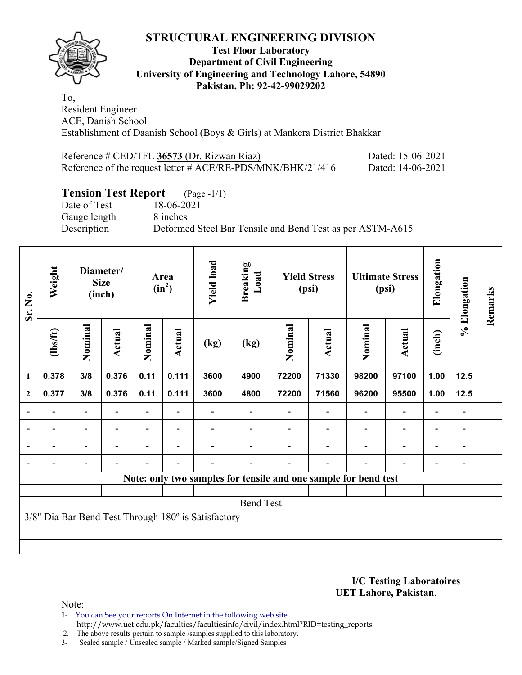

### **Test Floor Laboratory Department of Civil Engineering University of Engineering and Technology Lahore, 54890 Pakistan. Ph: 92-42-99029202**

To, Resident Engineer ACE, Danish School Establishment of Daanish School (Boys & Girls) at Mankera District Bhakkar

| Reference # CED/TFL 36573 (Dr. Rizwan Riaz)                    | Dated: 15-06-2021 |
|----------------------------------------------------------------|-------------------|
| Reference of the request letter $\#$ ACE/RE-PDS/MNK/BHK/21/416 | Dated: 14-06-2021 |

# **Tension Test Report** (Page -1/1)

Gauge length 8 inches

Date of Test 18-06-2021 Description Deformed Steel Bar Tensile and Bend Test as per ASTM-A615

| Sr. No.          | Weight                                              |                          | Diameter/<br><b>Size</b><br>(inch) |                          | Area<br>$(in^2)$         | <b>Yield load</b> | <b>Breaking</b><br>Load                                         |         | <b>Yield Stress</b><br>(psi) |                          | <b>Ultimate Stress</b><br>(psi) | Elongation               | % Elongation   | Remarks |
|------------------|-----------------------------------------------------|--------------------------|------------------------------------|--------------------------|--------------------------|-------------------|-----------------------------------------------------------------|---------|------------------------------|--------------------------|---------------------------------|--------------------------|----------------|---------|
|                  | (1bs/ft)                                            | Nominal                  | Actual                             | Nominal                  | Actual                   | (kg)              | (kg)                                                            | Nominal | Actual                       | Nominal                  | Actual                          | (inch)                   |                |         |
| $\mathbf{1}$     | 0.378                                               | 3/8                      | 0.376                              | 0.11                     | 0.111                    | 3600              | 4900                                                            | 72200   | 71330                        | 98200                    | 97100                           | 1.00                     | $12.5$         |         |
| $\boldsymbol{2}$ | 0.377                                               | 3/8                      | 0.376                              | 0.11                     | 0.111                    | 3600              | 4800                                                            | 72200   | 71560                        | 96200                    | 95500                           | 1.00                     | $12.5$         |         |
| $\blacksquare$   | $\overline{\phantom{0}}$                            | $\overline{\phantom{a}}$ |                                    |                          |                          |                   |                                                                 |         | $\blacksquare$               | $\overline{\phantom{a}}$ | $\overline{\phantom{a}}$        | $\overline{\phantom{a}}$ | $\blacksquare$ |         |
| $\blacksquare$   | $\blacksquare$                                      | $\overline{\phantom{a}}$ | $\blacksquare$                     | $\overline{\phantom{0}}$ | $\overline{\phantom{a}}$ |                   |                                                                 |         |                              | $\overline{\phantom{0}}$ | $\overline{a}$                  | $\overline{\phantom{a}}$ | $\blacksquare$ |         |
| $\blacksquare$   |                                                     | $\blacksquare$           | $\blacksquare$                     | $\overline{\phantom{0}}$ | $\overline{\phantom{0}}$ |                   |                                                                 |         |                              | $\blacksquare$           | $\overline{a}$                  | $\overline{\phantom{a}}$ | $\blacksquare$ |         |
|                  |                                                     |                          |                                    |                          |                          |                   |                                                                 |         |                              |                          | $\overline{\phantom{0}}$        | ۰                        |                |         |
|                  |                                                     |                          |                                    |                          |                          |                   | Note: only two samples for tensile and one sample for bend test |         |                              |                          |                                 |                          |                |         |
|                  |                                                     |                          |                                    |                          |                          |                   |                                                                 |         |                              |                          |                                 |                          |                |         |
|                  |                                                     |                          |                                    |                          |                          |                   | <b>Bend Test</b>                                                |         |                              |                          |                                 |                          |                |         |
|                  | 3/8" Dia Bar Bend Test Through 180° is Satisfactory |                          |                                    |                          |                          |                   |                                                                 |         |                              |                          |                                 |                          |                |         |
|                  |                                                     |                          |                                    |                          |                          |                   |                                                                 |         |                              |                          |                                 |                          |                |         |
|                  |                                                     |                          |                                    |                          |                          |                   |                                                                 |         |                              |                          |                                 |                          |                |         |

**I/C Testing Laboratoires UET Lahore, Pakistan**.

- 1- You can See your reports On Internet in the following web site http://www.uet.edu.pk/faculties/facultiesinfo/civil/index.html?RID=testing\_reports
- 2. The above results pertain to sample /samples supplied to this laboratory.
- 3- Sealed sample / Unsealed sample / Marked sample/Signed Samples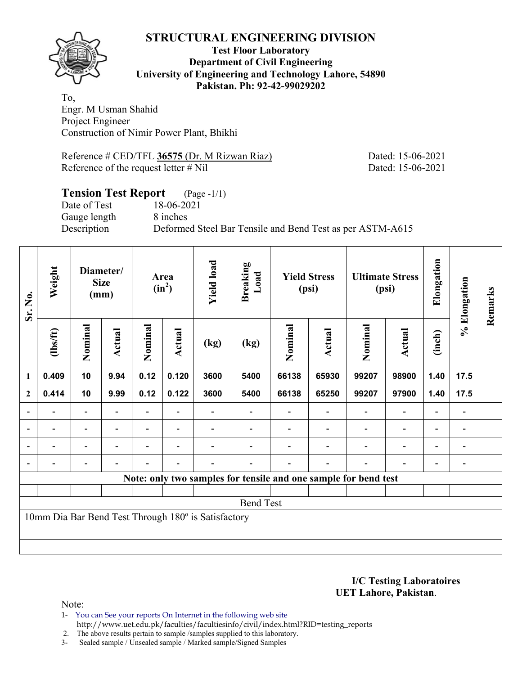

### **Test Floor Laboratory Department of Civil Engineering University of Engineering and Technology Lahore, 54890 Pakistan. Ph: 92-42-99029202**

To, Engr. M Usman Shahid Project Engineer Construction of Nimir Power Plant, Bhikhi

Reference # CED/TFL **36575** (Dr. M Rizwan Riaz) Dated: 15-06-2021 Reference of the request letter # Nil Dated: 15-06-2021

### **Tension Test Report** (Page -1/1) Date of Test 18-06-2021 Gauge length 8 inches Description Deformed Steel Bar Tensile and Bend Test as per ASTM-A615

| Sr. No.        | Weight                                              |                          | Diameter/<br><b>Size</b><br>(mm) |         | Area<br>$(in^2)$         | <b>Yield load</b> | <b>Breaking</b><br>Load                                         |         | <b>Yield Stress</b><br>(psi) |                          | <b>Ultimate Stress</b><br>(psi) | Elongation               | % Elongation                 | Remarks |
|----------------|-----------------------------------------------------|--------------------------|----------------------------------|---------|--------------------------|-------------------|-----------------------------------------------------------------|---------|------------------------------|--------------------------|---------------------------------|--------------------------|------------------------------|---------|
|                | (1bs/ft)                                            | Nominal                  | Actual                           | Nominal | Actual                   | (kg)              | (kg)                                                            | Nominal | Actual                       | Nominal                  | Actual                          | (inch)                   |                              |         |
| 1              | 0.409                                               | 10                       | 9.94                             | 0.12    | 0.120                    | 3600              | 5400                                                            | 66138   | 65930                        | 99207                    | 98900                           | 1.40                     | 17.5                         |         |
| $\mathbf{2}$   | 0.414                                               | 10                       | 9.99                             | 0.12    | 0.122                    | 3600              | 5400                                                            | 66138   | 65250                        | 99207                    | 97900                           | 1.40                     | 17.5                         |         |
|                |                                                     | $\overline{\phantom{0}}$ |                                  |         |                          |                   |                                                                 |         |                              |                          | $\qquad \qquad \blacksquare$    | $\overline{\phantom{0}}$ |                              |         |
| $\blacksquare$ | $\overline{\phantom{0}}$                            | $\overline{\phantom{a}}$ | $\blacksquare$                   |         | $\overline{\phantom{a}}$ |                   |                                                                 |         |                              | $\overline{\phantom{a}}$ | $\overline{\phantom{a}}$        | $\blacksquare$           | $\overline{\phantom{a}}$     |         |
|                | -                                                   | $\overline{\phantom{0}}$ |                                  |         | $\overline{\phantom{0}}$ |                   |                                                                 |         |                              |                          | $\overline{\phantom{a}}$        | $\overline{a}$           | $\overline{a}$               |         |
|                |                                                     | $\overline{\phantom{0}}$ | $\blacksquare$                   |         | $\blacksquare$           |                   |                                                                 |         | $\overline{\phantom{a}}$     |                          | $\overline{\phantom{0}}$        | $\blacksquare$           | $\qquad \qquad \blacksquare$ |         |
|                |                                                     |                          |                                  |         |                          |                   | Note: only two samples for tensile and one sample for bend test |         |                              |                          |                                 |                          |                              |         |
|                |                                                     |                          |                                  |         |                          |                   |                                                                 |         |                              |                          |                                 |                          |                              |         |
|                | <b>Bend Test</b>                                    |                          |                                  |         |                          |                   |                                                                 |         |                              |                          |                                 |                          |                              |         |
|                | 10mm Dia Bar Bend Test Through 180° is Satisfactory |                          |                                  |         |                          |                   |                                                                 |         |                              |                          |                                 |                          |                              |         |
|                |                                                     |                          |                                  |         |                          |                   |                                                                 |         |                              |                          |                                 |                          |                              |         |
|                |                                                     |                          |                                  |         |                          |                   |                                                                 |         |                              |                          |                                 |                          |                              |         |

#### **I/C Testing Laboratoires UET Lahore, Pakistan**.

Note:

1- You can See your reports On Internet in the following web site http://www.uet.edu.pk/faculties/facultiesinfo/civil/index.html?RID=testing\_reports

2. The above results pertain to sample /samples supplied to this laboratory.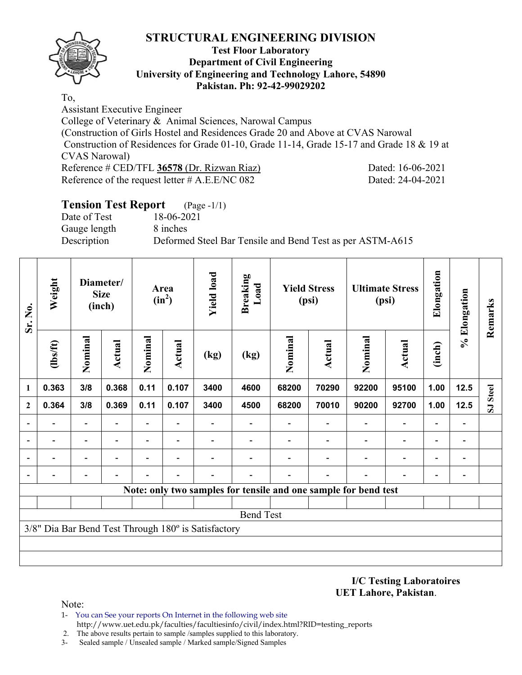

#### **Test Floor Laboratory Department of Civil Engineering University of Engineering and Technology Lahore, 54890 Pakistan. Ph: 92-42-99029202**

To,

Assistant Executive Engineer College of Veterinary & Animal Sciences, Narowal Campus (Construction of Girls Hostel and Residences Grade 20 and Above at CVAS Narowal Construction of Residences for Grade 01-10, Grade 11-14, Grade 15-17 and Grade 18 & 19 at CVAS Narowal) Reference # CED/TFL **36578** (Dr. Rizwan Riaz) Dated: 16-06-2021 Reference of the request letter # A.E.E/NC 082 Dated: 24-04-2021

# **Tension Test Report** (Page -1/1)

Date of Test 18-06-2021 Gauge length 8 inches

Description Deformed Steel Bar Tensile and Bend Test as per ASTM-A615

| Sr. No.                  | Weight                                              |                | Diameter/<br><b>Size</b><br>(inch) |         | Area<br>$(in^2)$ | <b>Yield load</b> | <b>Breaking</b><br>Load |         | <b>Yield Stress</b><br>(psi)                                    |         | <b>Ultimate Stress</b><br>(psi) | Elongation               | % Elongation   | Remarks                 |
|--------------------------|-----------------------------------------------------|----------------|------------------------------------|---------|------------------|-------------------|-------------------------|---------|-----------------------------------------------------------------|---------|---------------------------------|--------------------------|----------------|-------------------------|
|                          | $\frac{2}{10}$                                      | Nominal        | Actual                             | Nominal | Actual           | (kg)              | (kg)                    | Nominal | <b>Actual</b>                                                   | Nominal | <b>Actual</b>                   | (inch)                   |                |                         |
| $\mathbf{1}$             | 0.363                                               | 3/8            | 0.368                              | 0.11    | 0.107            | 3400              | 4600                    | 68200   | 70290                                                           | 92200   | 95100                           | 1.00                     | 12.5           | <b>Steel</b>            |
| $\overline{2}$           | 0.364                                               | 3/8            | 0.369                              | 0.11    | 0.107            | 3400              | 4500                    | 68200   | 70010                                                           | 90200   | 92700                           | 1.00                     | $12.5$         | $\overline{\mathbf{S}}$ |
| $\overline{\phantom{0}}$ |                                                     |                |                                    |         |                  |                   |                         |         |                                                                 |         |                                 |                          |                |                         |
| $\overline{\phantom{a}}$ |                                                     | $\overline{a}$ |                                    |         |                  |                   |                         |         |                                                                 |         |                                 |                          | $\overline{a}$ |                         |
| $\overline{\phantom{a}}$ |                                                     | -              |                                    |         |                  |                   |                         |         |                                                                 |         | $\overline{\phantom{0}}$        | $\overline{\phantom{0}}$ | -              |                         |
| $\overline{\phantom{a}}$ |                                                     |                |                                    |         |                  |                   |                         |         |                                                                 |         |                                 |                          | $\overline{a}$ |                         |
|                          |                                                     |                |                                    |         |                  |                   |                         |         | Note: only two samples for tensile and one sample for bend test |         |                                 |                          |                |                         |
|                          |                                                     |                |                                    |         |                  |                   |                         |         |                                                                 |         |                                 |                          |                |                         |
|                          |                                                     |                |                                    |         |                  |                   | <b>Bend Test</b>        |         |                                                                 |         |                                 |                          |                |                         |
|                          | 3/8" Dia Bar Bend Test Through 180° is Satisfactory |                |                                    |         |                  |                   |                         |         |                                                                 |         |                                 |                          |                |                         |
|                          |                                                     |                |                                    |         |                  |                   |                         |         |                                                                 |         |                                 |                          |                |                         |
|                          |                                                     |                |                                    |         |                  |                   |                         |         |                                                                 |         |                                 |                          |                |                         |

**I/C Testing Laboratoires UET Lahore, Pakistan**.

- 1- You can See your reports On Internet in the following web site http://www.uet.edu.pk/faculties/facultiesinfo/civil/index.html?RID=testing\_reports
- 2. The above results pertain to sample /samples supplied to this laboratory.
- 3- Sealed sample / Unsealed sample / Marked sample/Signed Samples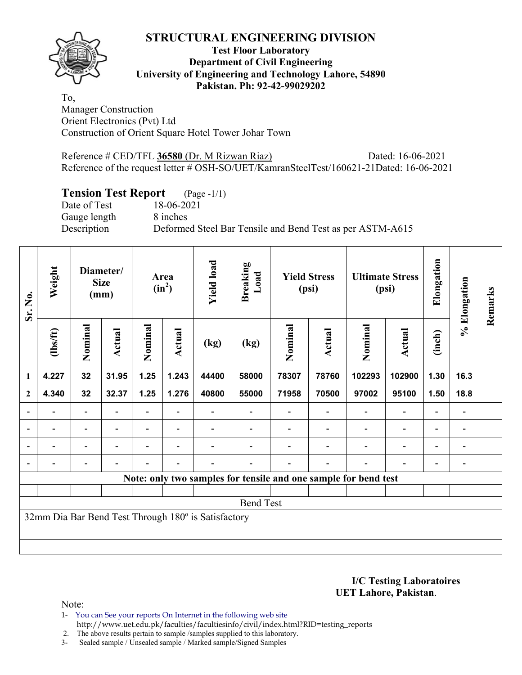

### **Test Floor Laboratory Department of Civil Engineering University of Engineering and Technology Lahore, 54890 Pakistan. Ph: 92-42-99029202**

To, Manager Construction Orient Electronics (Pvt) Ltd Construction of Orient Square Hotel Tower Johar Town

Reference # CED/TFL **36580** (Dr. M Rizwan Riaz) Dated: 16-06-2021 Reference of the request letter # OSH-SO/UET/KamranSteelTest/160621-21Dated: 16-06-2021

# **Tension Test Report** (Page -1/1)

Gauge length 8 inches

Date of Test 18-06-2021 Description Deformed Steel Bar Tensile and Bend Test as per ASTM-A615

| Sr. No.      | Weight                                              |                          | Diameter/<br><b>Size</b><br>(mm) |                          | Area<br>$(in^2)$         | <b>Yield load</b> | <b>Breaking</b><br>Load |         | <b>Yield Stress</b><br>(psi) |                                                                 | <b>Ultimate Stress</b><br>(psi) | Elongation               | % Elongation   | Remarks |
|--------------|-----------------------------------------------------|--------------------------|----------------------------------|--------------------------|--------------------------|-------------------|-------------------------|---------|------------------------------|-----------------------------------------------------------------|---------------------------------|--------------------------|----------------|---------|
|              | (1bs/ft)                                            | Nominal                  | Actual                           | Nominal                  | <b>Actual</b>            | (kg)              | (kg)                    | Nominal | Actual                       | Nominal                                                         | Actual                          | (inch)                   |                |         |
| $\mathbf{1}$ | 4.227                                               | 32                       | 31.95                            | 1.25                     | 1.243                    | 44400             | 58000                   | 78307   | 78760                        | 102293                                                          | 102900                          | 1.30                     | 16.3           |         |
| $\mathbf{2}$ | 4.340                                               | 32                       | 32.37                            | 1.25                     | 1.276                    | 40800             | 55000                   | 71958   | 70500                        | 97002                                                           | 95100                           | 1.50                     | 18.8           |         |
|              |                                                     | Ξ.                       |                                  |                          |                          |                   |                         |         |                              |                                                                 | $\overline{\phantom{0}}$        | $\overline{\phantom{0}}$ |                |         |
|              |                                                     | $\overline{\phantom{a}}$ | $\overline{\phantom{a}}$         |                          | $\blacksquare$           |                   |                         |         |                              | $\blacksquare$                                                  | $\overline{a}$                  | $\overline{\phantom{0}}$ | $\blacksquare$ |         |
|              | $\blacksquare$                                      | ۰                        |                                  | $\overline{\phantom{0}}$ | $\overline{\phantom{0}}$ |                   |                         |         |                              | $\blacksquare$                                                  | $\blacksquare$                  | $\overline{\phantom{0}}$ | $\blacksquare$ |         |
|              |                                                     | $\overline{\phantom{0}}$ | $\overline{\phantom{0}}$         |                          | $\blacksquare$           |                   |                         |         | $\overline{\phantom{0}}$     |                                                                 | $\overline{a}$                  | $\overline{\phantom{a}}$ |                |         |
|              |                                                     |                          |                                  |                          |                          |                   |                         |         |                              | Note: only two samples for tensile and one sample for bend test |                                 |                          |                |         |
|              |                                                     |                          |                                  |                          |                          |                   |                         |         |                              |                                                                 |                                 |                          |                |         |
|              |                                                     |                          |                                  |                          |                          |                   | <b>Bend Test</b>        |         |                              |                                                                 |                                 |                          |                |         |
|              | 32mm Dia Bar Bend Test Through 180° is Satisfactory |                          |                                  |                          |                          |                   |                         |         |                              |                                                                 |                                 |                          |                |         |
|              |                                                     |                          |                                  |                          |                          |                   |                         |         |                              |                                                                 |                                 |                          |                |         |
|              |                                                     |                          |                                  |                          |                          |                   |                         |         |                              |                                                                 |                                 |                          |                |         |

**I/C Testing Laboratoires UET Lahore, Pakistan**.

Note:

1- You can See your reports On Internet in the following web site http://www.uet.edu.pk/faculties/facultiesinfo/civil/index.html?RID=testing\_reports

2. The above results pertain to sample /samples supplied to this laboratory.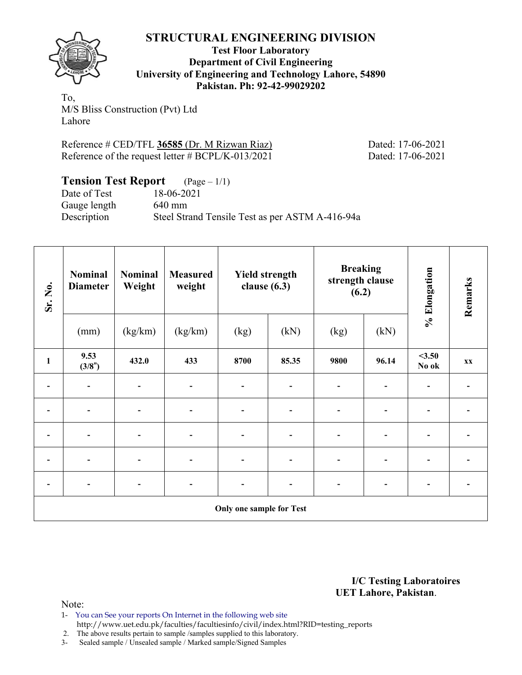

**Test Floor Laboratory Department of Civil Engineering University of Engineering and Technology Lahore, 54890 Pakistan. Ph: 92-42-99029202** 

To, M/S Bliss Construction (Pvt) Ltd Lahore

Reference # CED/TFL **36585** (Dr. M Rizwan Riaz) Dated: 17-06-2021 Reference of the request letter # BCPL/K-013/2021 Dated: 17-06-2021

**Tension Test Report** (Page – 1/1) Date of Test 18-06-2021 Gauge length 640 mm Description Steel Strand Tensile Test as per ASTM A-416-94a

| Sr. No.                  | <b>Nominal</b><br><b>Diameter</b> | <b>Nominal</b><br>Weight     | <b>Measured</b><br>weight |                          | <b>Yield strength</b><br>clause $(6.3)$ |                              | <b>Breaking</b><br>strength clause<br>(6.2) | % Elongation                 | Remarks |  |  |  |
|--------------------------|-----------------------------------|------------------------------|---------------------------|--------------------------|-----------------------------------------|------------------------------|---------------------------------------------|------------------------------|---------|--|--|--|
|                          | (mm)                              | (kg/km)                      | (kg/km)                   | (kg)                     | (kN)                                    | (kg)                         | (kN)                                        |                              |         |  |  |  |
| $\mathbf{1}$             | 9.53<br>(3/8")                    | 432.0                        | 433                       | 8700                     | 85.35                                   | 9800                         | 96.14                                       | $<$ 3.50<br>No ok            | XX      |  |  |  |
|                          |                                   |                              |                           |                          |                                         |                              |                                             |                              |         |  |  |  |
| $\overline{a}$           |                                   | $\qquad \qquad \blacksquare$ |                           | $\overline{\phantom{0}}$ | $\qquad \qquad \blacksquare$            | $\qquad \qquad \blacksquare$ |                                             |                              |         |  |  |  |
| $\overline{\phantom{a}}$ | $\overline{\phantom{a}}$          | $\overline{\phantom{a}}$     |                           | $\overline{\phantom{a}}$ | $\overline{\phantom{a}}$                | $\blacksquare$               | -                                           | $\qquad \qquad \blacksquare$ |         |  |  |  |
|                          |                                   |                              |                           |                          |                                         |                              |                                             |                              |         |  |  |  |
| $\overline{\phantom{0}}$ |                                   | $\overline{\phantom{a}}$     |                           | $\overline{\phantom{0}}$ | $\qquad \qquad \blacksquare$            | $\overline{\phantom{a}}$     |                                             | $\overline{\phantom{0}}$     |         |  |  |  |
|                          | Only one sample for Test          |                              |                           |                          |                                         |                              |                                             |                              |         |  |  |  |

**I/C Testing Laboratoires UET Lahore, Pakistan**.

Note:

1- You can See your reports On Internet in the following web site http://www.uet.edu.pk/faculties/facultiesinfo/civil/index.html?RID=testing\_reports

2. The above results pertain to sample /samples supplied to this laboratory.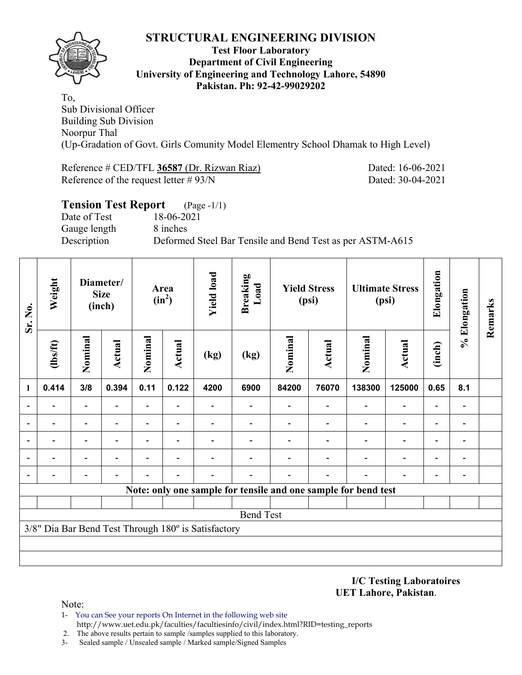

### **Test Floor Laboratory Department of Civil Engineering University of Engineering and Technology Lahore, 54890 Pakistan. Ph: 92-42-99029202**

To, Sub Divisional Officer Building Sub Division Noorpur Thal (Up-Gradation of Govt. Girls Comunity Model Elementry School Dhamak to High Level)

Reference # CED/TFL **36587** (Dr. Rizwan Riaz) Dated: 16-06-2021 Reference of the request letter # 93/N Dated: 30-04-2021

| <b>Tension Test Report</b> (Page -1/1) |                                                           |
|----------------------------------------|-----------------------------------------------------------|
| Date of Test                           | 18-06-2021                                                |
| Gauge length                           | 8 inches                                                  |
| Description                            | Deformed Steel Bar Tensile and Bend Test as per ASTM-A615 |
|                                        |                                                           |

| Sr. No.      | Weight                   | Diameter/<br><b>Size</b><br>(inch) |                          |                          |                          | Area<br>$(in^2)$                                    |                                                                | <b>Yield load</b> | <b>Breaking</b><br>Load  | <b>Yield Stress</b><br>(psi) |                          | <b>Ultimate Stress</b><br>(psi) |                          | Elongation | % Elongation | Remarks |
|--------------|--------------------------|------------------------------------|--------------------------|--------------------------|--------------------------|-----------------------------------------------------|----------------------------------------------------------------|-------------------|--------------------------|------------------------------|--------------------------|---------------------------------|--------------------------|------------|--------------|---------|
|              | $lbsft$                  | Nominal                            | Actual                   | Nominal                  | <b>Actual</b>            | (kg)                                                | (kg)                                                           | Nominal           | <b>Actual</b>            | Nominal                      | <b>Actual</b>            | (inch)                          |                          |            |              |         |
| $\mathbf{1}$ | 0.414                    | 3/8                                | 0.394                    | 0.11                     | 0.122                    | 4200                                                | 6900                                                           | 84200             | 76070                    | 138300                       | 125000                   | 0.65                            | 8.1                      |            |              |         |
|              |                          | $\overline{\phantom{0}}$           |                          | $\overline{\phantom{0}}$ |                          |                                                     |                                                                |                   | $\overline{\phantom{0}}$ |                              | $\overline{a}$           | $\qquad \qquad \blacksquare$    | $\overline{\phantom{0}}$ |            |              |         |
|              | $\overline{\phantom{0}}$ | $\overline{a}$                     |                          | $\overline{\phantom{0}}$ | $\overline{\phantom{0}}$ |                                                     |                                                                |                   |                          | $\overline{\phantom{0}}$     | $\overline{\phantom{0}}$ | $\overline{\phantom{a}}$        |                          |            |              |         |
|              | $\overline{\phantom{0}}$ | $\overline{\phantom{0}}$           | $\overline{\phantom{0}}$ | $\overline{\phantom{a}}$ | $\blacksquare$           |                                                     |                                                                |                   | $\overline{\phantom{0}}$ |                              | -                        | $\overline{\phantom{0}}$        | $\overline{\phantom{a}}$ |            |              |         |
|              |                          |                                    |                          |                          |                          |                                                     |                                                                |                   |                          |                              | Ξ.                       | $\overline{\phantom{0}}$        | $\overline{\phantom{0}}$ |            |              |         |
|              |                          |                                    |                          |                          |                          |                                                     |                                                                |                   |                          |                              |                          | $\overline{\phantom{0}}$        |                          |            |              |         |
|              |                          |                                    |                          |                          |                          |                                                     | Note: only one sample for tensile and one sample for bend test |                   |                          |                              |                          |                                 |                          |            |              |         |
|              |                          |                                    |                          |                          |                          |                                                     |                                                                |                   |                          |                              |                          |                                 |                          |            |              |         |
|              | <b>Bend Test</b>         |                                    |                          |                          |                          |                                                     |                                                                |                   |                          |                              |                          |                                 |                          |            |              |         |
|              |                          |                                    |                          |                          |                          | 3/8" Dia Bar Bend Test Through 180° is Satisfactory |                                                                |                   |                          |                              |                          |                                 |                          |            |              |         |
|              |                          |                                    |                          |                          |                          |                                                     |                                                                |                   |                          |                              |                          |                                 |                          |            |              |         |
|              |                          |                                    |                          |                          |                          |                                                     |                                                                |                   |                          |                              |                          |                                 |                          |            |              |         |

**I/C Testing Laboratoires UET Lahore, Pakistan**.

- 1- You can See your reports On Internet in the following web site http://www.uet.edu.pk/faculties/facultiesinfo/civil/index.html?RID=testing\_reports
- 2. The above results pertain to sample /samples supplied to this laboratory.
- 3- Sealed sample / Unsealed sample / Marked sample/Signed Samples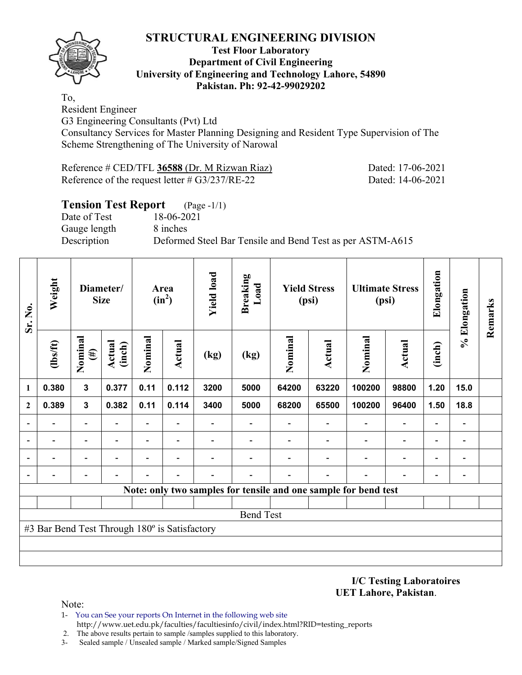

### **Test Floor Laboratory Department of Civil Engineering University of Engineering and Technology Lahore, 54890 Pakistan. Ph: 92-42-99029202**

To,

Resident Engineer

G3 Engineering Consultants (Pvt) Ltd

Consultancy Services for Master Planning Designing and Resident Type Supervision of The Scheme Strengthening of The University of Narowal

| Reference # CED/TFL 36588 (Dr. M Rizwan Riaz)     | Dated: 17-06-2021 |
|---------------------------------------------------|-------------------|
| Reference of the request letter $\# G3/237/RE-22$ | Dated: 14-06-2021 |

# **Tension Test Report** (Page -1/1)

Date of Test 18-06-2021 Gauge length 8 inches

Description Deformed Steel Bar Tensile and Bend Test as per ASTM-A615

| Sr. No.          | Weight                                        | Diameter/<br><b>Size</b> |                          | $(in^2)$                 |                          | <b>Yield load</b><br><b>Breaking</b><br>Load<br>Area |      | <b>Yield Stress</b><br>(psi) |               |                                                                 | <b>Ultimate Stress</b><br>(psi) | Elongation               | % Elongation                 | Remarks |
|------------------|-----------------------------------------------|--------------------------|--------------------------|--------------------------|--------------------------|------------------------------------------------------|------|------------------------------|---------------|-----------------------------------------------------------------|---------------------------------|--------------------------|------------------------------|---------|
|                  | (1bs/ft)                                      | Nominal<br>$(\#)$        | <b>Actual</b><br>(inch)  | Nominal                  | Actual                   | (kg)                                                 | (kg) | Nominal                      | <b>Actual</b> | Nominal                                                         | <b>Actual</b>                   | (inch)                   |                              |         |
| 1                | 0.380                                         | $\mathbf{3}$             | 0.377                    | 0.11                     | 0.112                    | 3200                                                 | 5000 | 64200                        | 63220         | 100200                                                          | 98800                           | 1.20                     | 15.0                         |         |
| $\mathbf{2}$     | 0.389                                         | $\mathbf{3}$             | 0.382                    | 0.11                     | 0.114                    | 3400                                                 | 5000 | 68200                        | 65500         | 100200                                                          | 96400                           | 1.50                     | 18.8                         |         |
|                  |                                               | $\overline{\phantom{0}}$ |                          | $\overline{\phantom{0}}$ |                          |                                                      |      |                              |               |                                                                 | $\overline{\phantom{0}}$        |                          | $\qquad \qquad \blacksquare$ |         |
|                  |                                               | -                        | $\overline{\phantom{0}}$ | -                        | $\overline{\phantom{a}}$ |                                                      |      |                              |               |                                                                 | $\overline{\phantom{a}}$        | $\overline{\phantom{0}}$ | -                            |         |
|                  |                                               | $\overline{\phantom{0}}$ |                          |                          |                          |                                                      |      |                              |               |                                                                 |                                 |                          | $\overline{a}$               |         |
|                  |                                               |                          |                          |                          |                          |                                                      |      |                              |               |                                                                 |                                 |                          | -                            |         |
|                  |                                               |                          |                          |                          |                          |                                                      |      |                              |               | Note: only two samples for tensile and one sample for bend test |                                 |                          |                              |         |
|                  |                                               |                          |                          |                          |                          |                                                      |      |                              |               |                                                                 |                                 |                          |                              |         |
| <b>Bend Test</b> |                                               |                          |                          |                          |                          |                                                      |      |                              |               |                                                                 |                                 |                          |                              |         |
|                  | #3 Bar Bend Test Through 180° is Satisfactory |                          |                          |                          |                          |                                                      |      |                              |               |                                                                 |                                 |                          |                              |         |
|                  |                                               |                          |                          |                          |                          |                                                      |      |                              |               |                                                                 |                                 |                          |                              |         |
|                  |                                               |                          |                          |                          |                          |                                                      |      |                              |               |                                                                 |                                 |                          |                              |         |

**I/C Testing Laboratoires UET Lahore, Pakistan**.

- 1- You can See your reports On Internet in the following web site http://www.uet.edu.pk/faculties/facultiesinfo/civil/index.html?RID=testing\_reports
- 2. The above results pertain to sample /samples supplied to this laboratory.
- 3- Sealed sample / Unsealed sample / Marked sample/Signed Samples